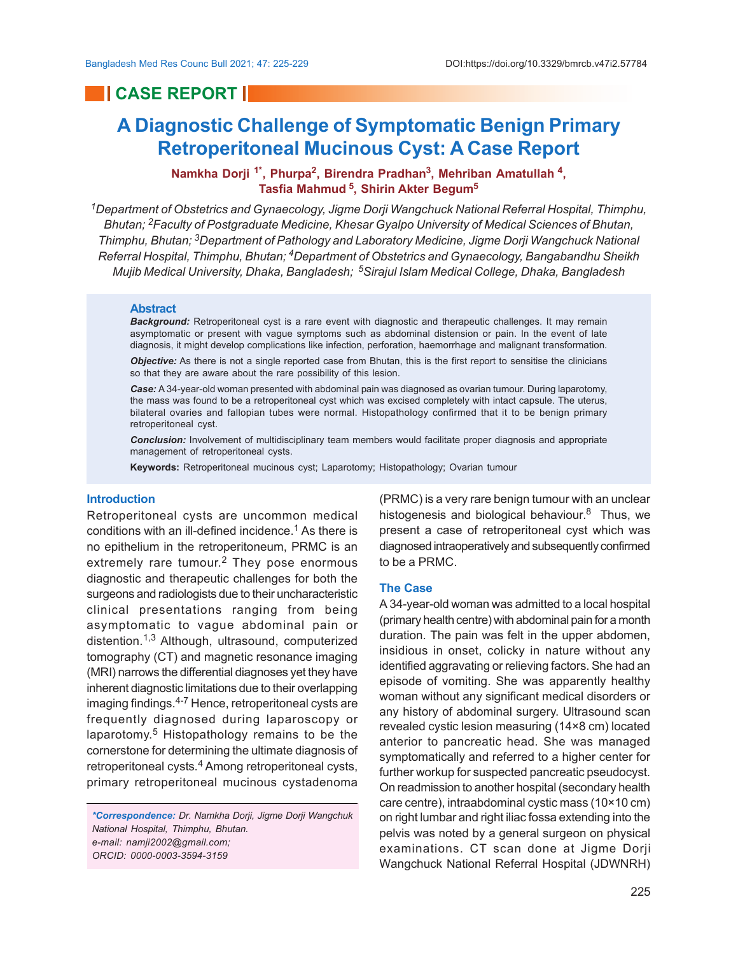# **CASE REPORT I**

# **A Diagnostic Challenge of Symptomatic Benign Primary Retroperitoneal Mucinous Cyst: A Case Report**

# **Namkha Dorji 1\*, Phurpa<sup>2</sup> , Birendra Pradhan<sup>3</sup> , Mehriban Amatullah<sup>4</sup> , Tasfia Mahmud<sup>5</sup> , Shirin Akter Begum<sup>5</sup>**

*<sup>1</sup>Department of Obstetrics and Gynaecology, Jigme Dorji Wangchuck National Referral Hospital, Thimphu, Bhutan; 2Faculty of Postgraduate Medicine, Khesar Gyalpo University of Medical Sciences of Bhutan, Thimphu, Bhutan; 3Department of Pathology and Laboratory Medicine, Jigme Dorji Wangchuck National Referral Hospital, Thimphu, Bhutan; 4Department of Obstetrics and Gynaecology, Bangabandhu Sheikh Mujib Medical University, Dhaka, Bangladesh; 5Sirajul Islam Medical College, Dhaka, Bangladesh*

#### **Abstract**

*Background:* Retroperitoneal cyst is a rare event with diagnostic and therapeutic challenges. It may remain asymptomatic or present with vague symptoms such as abdominal distension or pain. In the event of late diagnosis, it might develop complications like infection, perforation, haemorrhage and malignant transformation.

*Objective:* As there is not a single reported case from Bhutan, this is the first report to sensitise the clinicians so that they are aware about the rare possibility of this lesion.

*Case:* A 34-year-old woman presented with abdominal pain was diagnosed as ovarian tumour. During laparotomy, the mass was found to be a retroperitoneal cyst which was excised completely with intact capsule. The uterus, bilateral ovaries and fallopian tubes were normal. Histopathology confirmed that it to be benign primary retroperitoneal cyst.

*Conclusion:* Involvement of multidisciplinary team members would facilitate proper diagnosis and appropriate management of retroperitoneal cysts.

**Keywords:** Retroperitoneal mucinous cyst; Laparotomy; Histopathology; Ovarian tumour

# **Introduction**

Retroperitoneal cysts are uncommon medical conditions with an ill-defined incidence.<sup>1</sup> As there is no epithelium in the retroperitoneum, PRMC is an extremely rare tumour.<sup>2</sup> They pose enormous diagnostic and therapeutic challenges for both the surgeons and radiologists due to their uncharacteristic clinical presentations ranging from being asymptomatic to vague abdominal pain or distention.1,3 Although, ultrasound, computerized tomography (CT) and magnetic resonance imaging (MRI) narrows the differential diagnoses yet they have inherent diagnostic limitations due to their overlapping imaging findings.4-7 Hence, retroperitoneal cysts are frequently diagnosed during laparoscopy or laparotomy.<sup>5</sup> Histopathology remains to be the cornerstone for determining the ultimate diagnosis of retroperitoneal cysts.<sup>4</sup> Among retroperitoneal cysts, primary retroperitoneal mucinous cystadenoma

*\*Correspondence: Dr. Namkha Dorji, Jigme Dorji Wangchuk National Hospital, Thimphu, Bhutan. e-mail: namji2002@gmail.com; ORCID: 0000-0003-3594-3159*

(PRMC) is a very rare benign tumour with an unclear histogenesis and biological behaviour.<sup>8</sup> Thus, we present a case of retroperitoneal cyst which was diagnosed intraoperatively and subsequently confirmed to be a PRMC.

#### **The Case**

A 34-year-old woman was admitted to a local hospital (primary health centre) with abdominal pain for a month duration. The pain was felt in the upper abdomen, insidious in onset, colicky in nature without any identified aggravating or relieving factors. She had an episode of vomiting. She was apparently healthy woman without any significant medical disorders or any history of abdominal surgery. Ultrasound scan revealed cystic lesion measuring (14×8 cm) located anterior to pancreatic head. She was managed symptomatically and referred to a higher center for further workup for suspected pancreatic pseudocyst. On readmission to another hospital (secondary health care centre), intraabdominal cystic mass (10×10 cm) on right lumbar and right iliac fossa extending into the pelvis was noted by a general surgeon on physical examinations. CT scan done at Jigme Dorji Wangchuck National Referral Hospital (JDWNRH)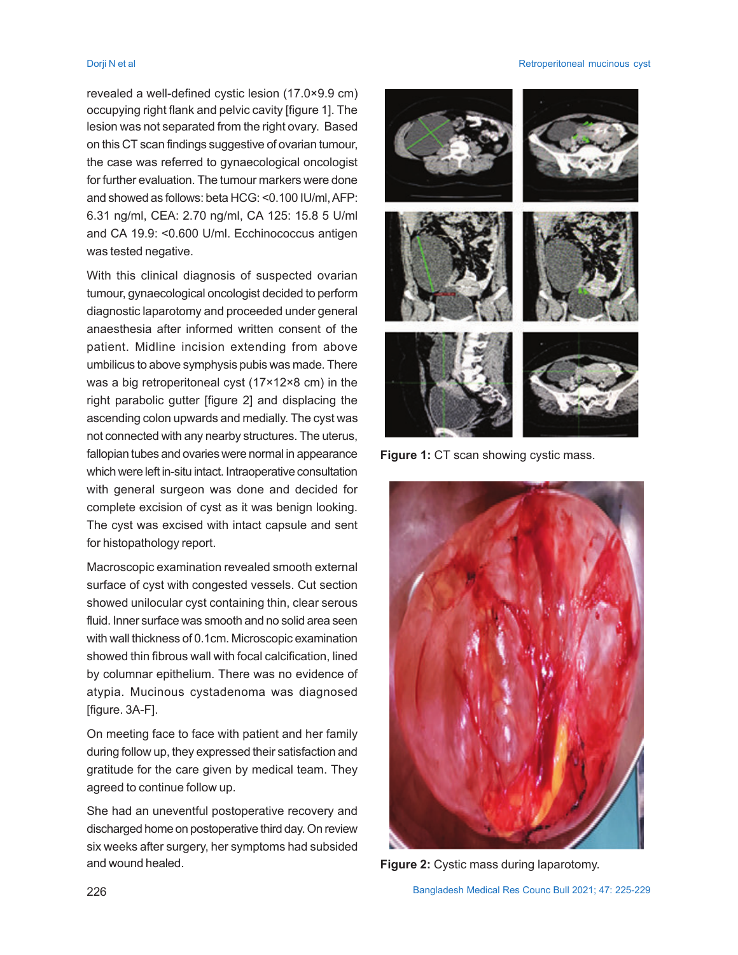revealed a well-defined cystic lesion (17.0×9.9 cm) occupying right flank and pelvic cavity [figure 1]. The lesion was not separated from the right ovary. Based on this CT scan findings suggestive of ovarian tumour, the case was referred to gynaecological oncologist for further evaluation. The tumour markers were done and showed as follows: beta HCG: <0.100 IU/ml, AFP: 6.31 ng/ml, CEA: 2.70 ng/ml, CA 125: 15.8 5 U/ml and CA 19.9: <0.600 U/ml. Ecchinococcus antigen was tested negative.

With this clinical diagnosis of suspected ovarian tumour, gynaecological oncologist decided to perform diagnostic laparotomy and proceeded under general anaesthesia after informed written consent of the patient. Midline incision extending from above umbilicus to above symphysis pubis was made. There was a big retroperitoneal cyst (17×12×8 cm) in the right parabolic gutter [figure 2] and displacing the ascending colon upwards and medially. The cyst was not connected with any nearby structures. The uterus, fallopian tubes and ovaries were normal in appearance which were left in-situ intact. Intraoperative consultation with general surgeon was done and decided for complete excision of cyst as it was benign looking. The cyst was excised with intact capsule and sent for histopathology report.

Macroscopic examination revealed smooth external surface of cyst with congested vessels. Cut section showed unilocular cyst containing thin, clear serous fluid. Inner surface was smooth and no solid area seen with wall thickness of 0.1cm. Microscopic examination showed thin fibrous wall with focal calcification, lined by columnar epithelium. There was no evidence of atypia. Mucinous cystadenoma was diagnosed [figure. 3A-F].

On meeting face to face with patient and her family during follow up, they expressed their satisfaction and gratitude for the care given by medical team. They agreed to continue follow up.

She had an uneventful postoperative recovery and discharged home on postoperative third day. On review six weeks after surgery, her symptoms had subsided and wound healed.

#### Dorji N et al Retroperitoneal mucinous cyst



**Figure 1: CT** scan showing cystic mass.



**Figure 2:** Cystic mass during laparotomy.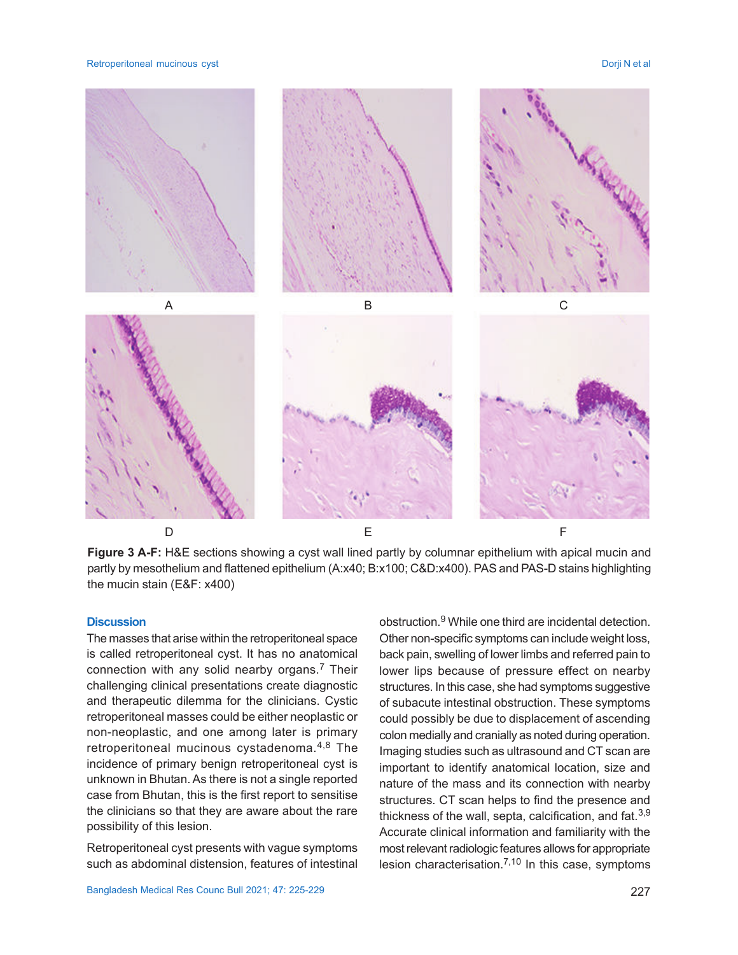Retroperitoneal mucinous cyst **Dorif N** et al. **Exercise 2018** 2019 12:30 N et al. **Dorif N** et al. **Dorif N** et al.



**Figure 3 A-F:** H&E sections showing a cyst wall lined partly by columnar epithelium with apical mucin and partly by mesothelium and flattened epithelium (A:x40; B:x100; C&D:x400). PAS and PAS-D stains highlighting the mucin stain (E&F: x400)

### **Discussion**

The masses that arise within the retroperitoneal space is called retroperitoneal cyst. It has no anatomical connection with any solid nearby organs.<sup>7</sup> Their challenging clinical presentations create diagnostic and therapeutic dilemma for the clinicians. Cystic retroperitoneal masses could be either neoplastic or non-neoplastic, and one among later is primary retroperitoneal mucinous cystadenoma.<sup>4,8</sup> The incidence of primary benign retroperitoneal cyst is unknown in Bhutan. As there is not a single reported case from Bhutan, this is the first report to sensitise the clinicians so that they are aware about the rare possibility of this lesion.

Retroperitoneal cyst presents with vague symptoms such as abdominal distension, features of intestinal

obstruction.<sup>9</sup> While one third are incidental detection. Other non-specific symptoms can include weight loss, back pain, swelling of lower limbs and referred pain to lower lips because of pressure effect on nearby structures. In this case, she had symptoms suggestive of subacute intestinal obstruction. These symptoms could possibly be due to displacement of ascending colon medially and cranially as noted during operation. Imaging studies such as ultrasound and CT scan are important to identify anatomical location, size and nature of the mass and its connection with nearby structures. CT scan helps to find the presence and thickness of the wall, septa, calcification, and fat.  $3,9$ Accurate clinical information and familiarity with the most relevant radiologic features allows for appropriate lesion characterisation.<sup>7,10</sup> In this case, symptoms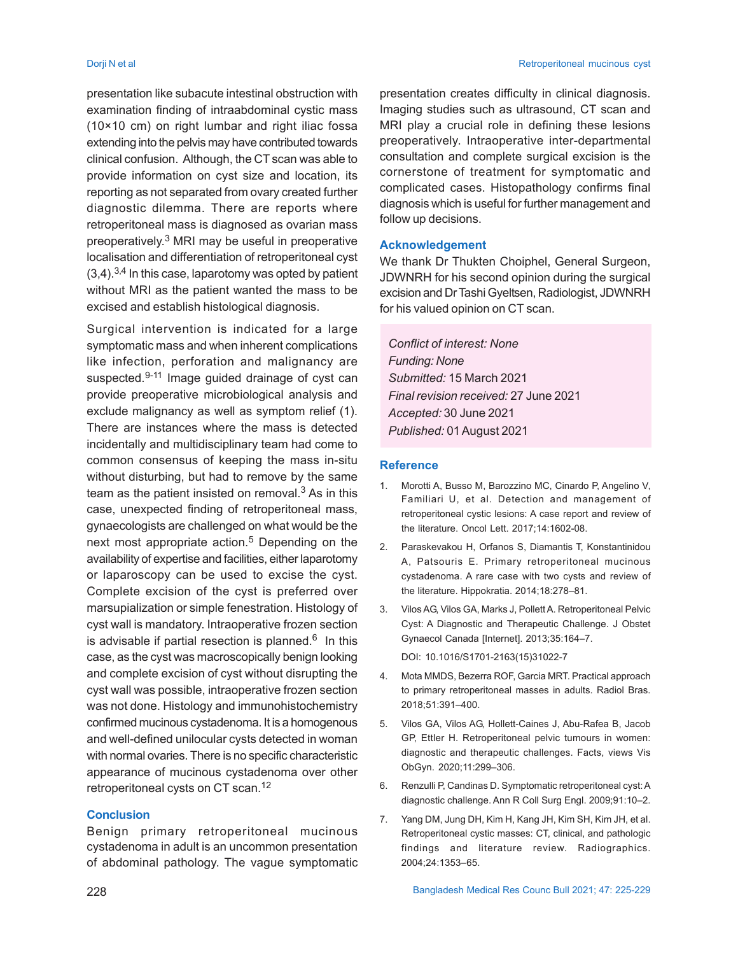presentation like subacute intestinal obstruction with examination finding of intraabdominal cystic mass (10×10 cm) on right lumbar and right iliac fossa extending into the pelvis may have contributed towards clinical confusion. Although, the CT scan was able to provide information on cyst size and location, its reporting as not separated from ovary created further diagnostic dilemma. There are reports where retroperitoneal mass is diagnosed as ovarian mass preoperatively.<sup>3</sup> MRI may be useful in preoperative localisation and differentiation of retroperitoneal cyst  $(3,4)$ . 3,4 In this case, laparotomy was opted by patient without MRI as the patient wanted the mass to be excised and establish histological diagnosis.

Surgical intervention is indicated for a large symptomatic mass and when inherent complications like infection, perforation and malignancy are suspected.<sup>9-11</sup> Image guided drainage of cyst can provide preoperative microbiological analysis and exclude malignancy as well as symptom relief (1). There are instances where the mass is detected incidentally and multidisciplinary team had come to common consensus of keeping the mass in-situ without disturbing, but had to remove by the same team as the patient insisted on removal. $3$  As in this case, unexpected finding of retroperitoneal mass, gynaecologists are challenged on what would be the next most appropriate action.<sup>5</sup> Depending on the availability of expertise and facilities, either laparotomy or laparoscopy can be used to excise the cyst. Complete excision of the cyst is preferred over marsupialization or simple fenestration. Histology of cyst wall is mandatory. Intraoperative frozen section is advisable if partial resection is planned. $^6\;$  In this case, as the cyst was macroscopically benign looking and complete excision of cyst without disrupting the cyst wall was possible, intraoperative frozen section was not done. Histology and immunohistochemistry confirmed mucinous cystadenoma. It is a homogenous and well-defined unilocular cysts detected in woman with normal ovaries. There is no specific characteristic appearance of mucinous cystadenoma over other retroperitoneal cysts on CT scan.<sup>12</sup>

# **Conclusion**

Benign primary retroperitoneal mucinous cystadenoma in adult is an uncommon presentation of abdominal pathology. The vague symptomatic presentation creates difficulty in clinical diagnosis. Imaging studies such as ultrasound, CT scan and MRI play a crucial role in defining these lesions preoperatively. Intraoperative inter-departmental consultation and complete surgical excision is the cornerstone of treatment for symptomatic and complicated cases. Histopathology confirms final diagnosis which is useful for further management and follow up decisions.

### **Acknowledgement**

We thank Dr Thukten Choiphel, General Surgeon, JDWNRH for his second opinion during the surgical excision and Dr Tashi Gyeltsen, Radiologist, JDWNRH for his valued opinion on CT scan.

*Conflict of interest: None Funding: None Submitted:* 15 March 2021 *Final revision received:* 27 June 2021 *Accepted:* 30 June 2021 *Published:* 01August 2021

# **Reference**

- 1. Morotti A, Busso M, Barozzino MC, Cinardo P, Angelino V, Familiari U, et al. Detection and management of retroperitoneal cystic lesions: A case report and review of the literature. Oncol Lett. 2017;14:1602-08.
- 2. Paraskevakou H, Orfanos S, Diamantis T, Konstantinidou A, Patsouris E. Primary retroperitoneal mucinous cystadenoma. A rare case with two cysts and review of the literature. Hippokratia. 2014;18:278–81.
- 3. Vilos AG, Vilos GA, Marks J, Pollett A. Retroperitoneal Pelvic Cyst: A Diagnostic and Therapeutic Challenge. J Obstet Gynaecol Canada [Internet]. 2013;35:164–7.

DOI: 10.1016/S1701-2163(15)31022-7

- 4. Mota MMDS, Bezerra ROF, Garcia MRT. Practical approach to primary retroperitoneal masses in adults. Radiol Bras. 2018;51:391–400.
- 5. Vilos GA, Vilos AG, Hollett-Caines J, Abu-Rafea B, Jacob GP, Ettler H. Retroperitoneal pelvic tumours in women: diagnostic and therapeutic challenges. Facts, views Vis ObGyn. 2020;11:299–306.
- 6. Renzulli P, Candinas D. Symptomatic retroperitoneal cyst: A diagnostic challenge. Ann R Coll Surg Engl. 2009;91:10–2.
- 7. Yang DM, Jung DH, Kim H, Kang JH, Kim SH, Kim JH, et al. Retroperitoneal cystic masses: CT, clinical, and pathologic findings and literature review. Radiographics. 2004;24:1353–65.